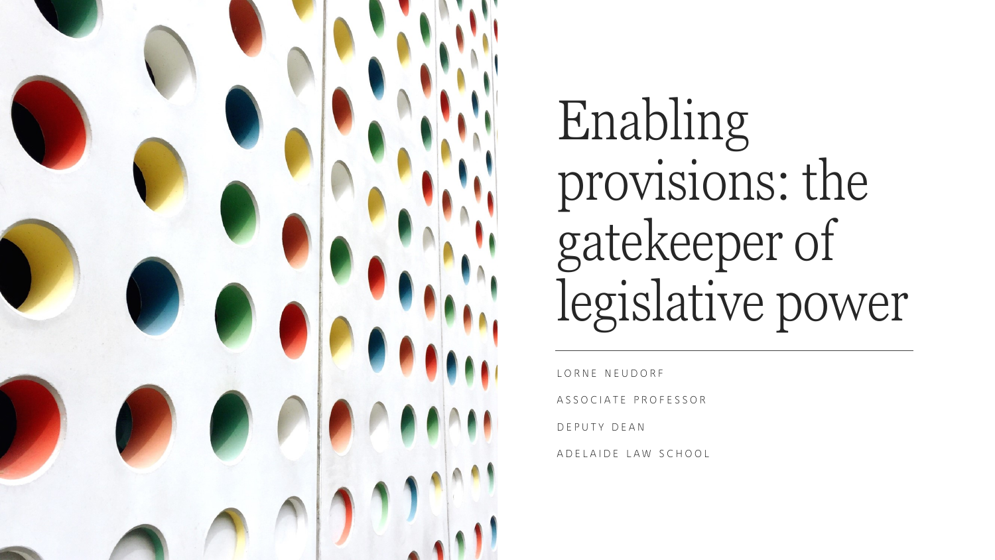

Enabling provisions: the gatekeeper of legislative power

LORNE NEUDORF A S S O C I A T E P R O F E S S O R D E P U T Y D E A N A D E L A I D E L A W S C H O O L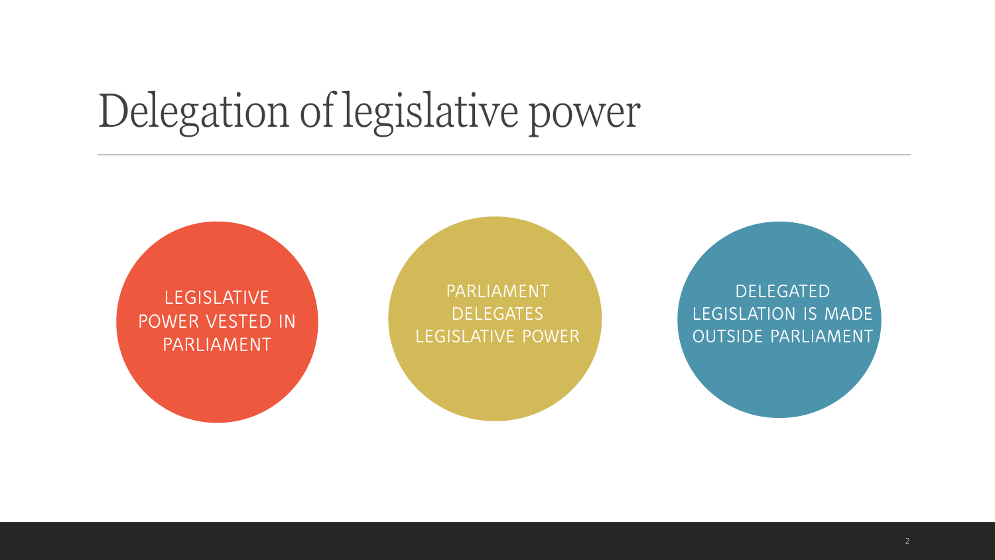#### Delegation of legislative power

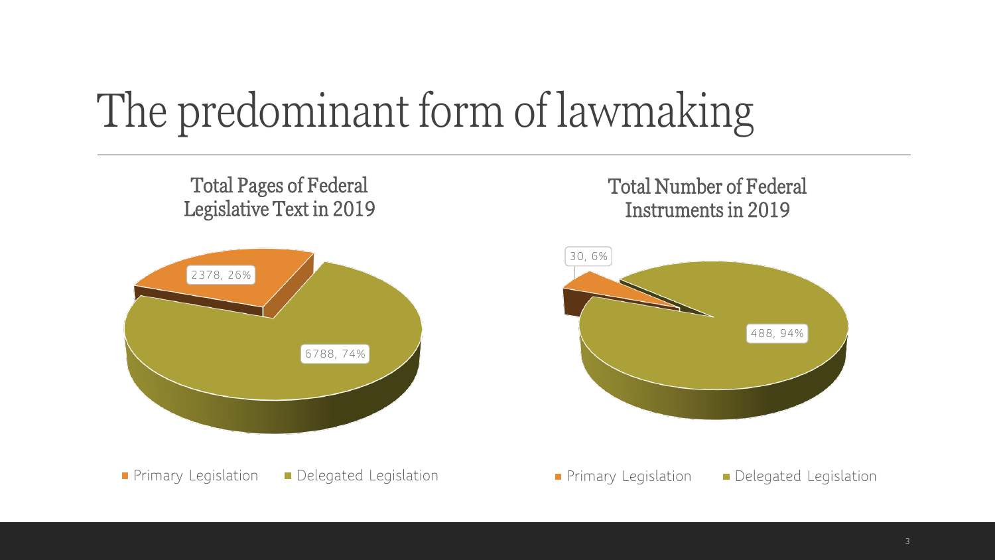### The predominant form of lawmaking

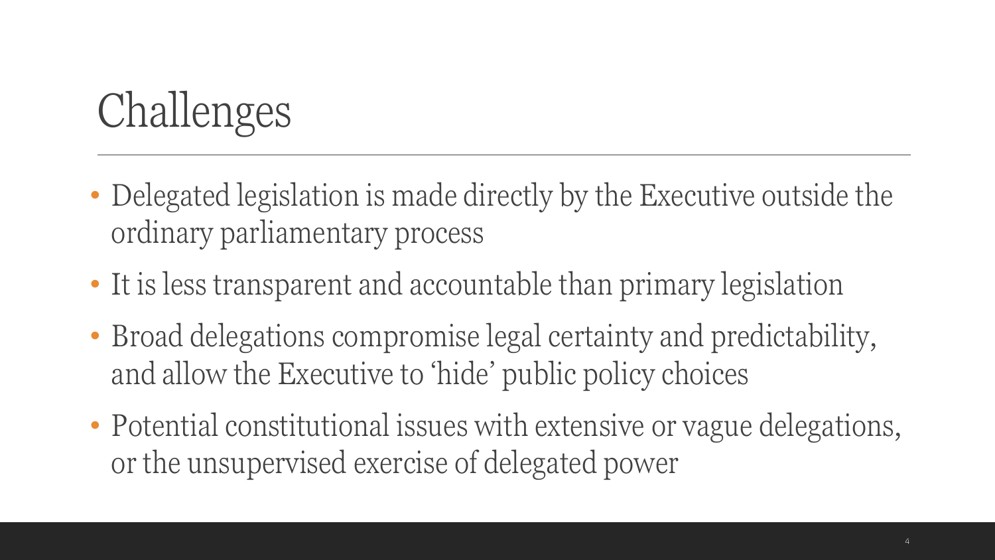### Challenges

- Delegated legislation is made directly by the Executive outside the ordinary parliamentary process
- It is less transparent and accountable than primary legislation
- Broad delegations compromise legal certainty and predictability, and allow the Executive to 'hide' public policy choices
- Potential constitutional issues with extensive or vague delegations, or the unsupervised exercise of delegated power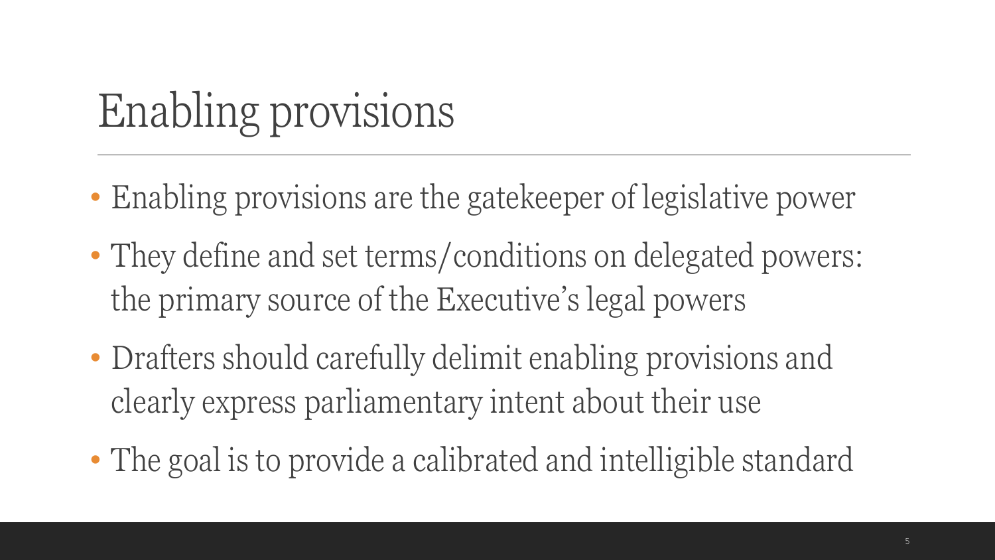# Enabling provisions

- Enabling provisions are the gatekeeper of legislative power
- They define and set terms/conditions on delegated powers: the primary source of the Executive's legal powers
- Drafters should carefully delimit enabling provisions and clearly express parliamentary intent about their use
- The goal is to provide a calibrated and intelligible standard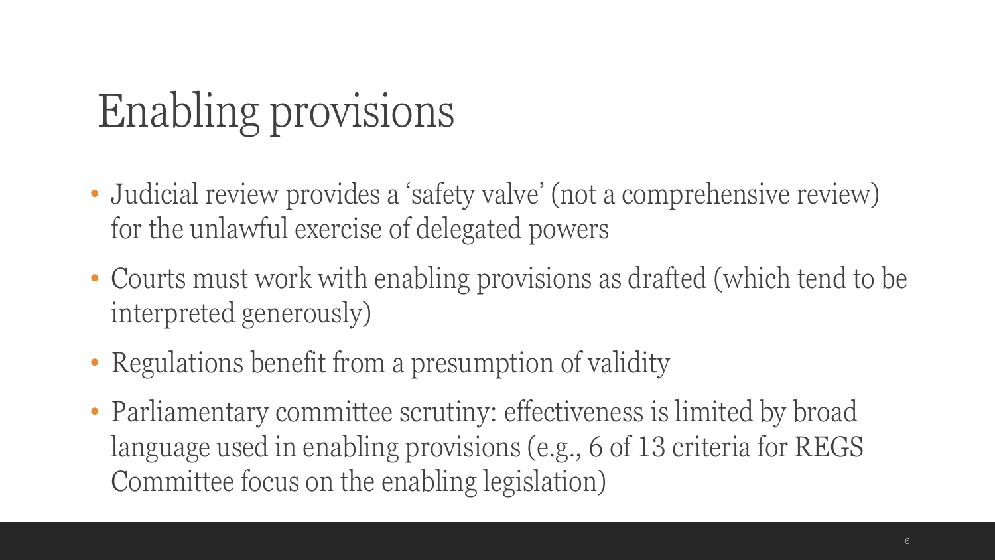# Enabling provisions

- Judicial review provides a 'safety valve' (not a comprehensive review) for the unlawful exercise of delegated powers
- Courts must work with enabling provisions as drafted (which tend to be interpreted generously)
- Regulations benefit from a presumption of validity
- Parliamentary committee scrutiny: effectiveness is limited by broad language used in enabling provisions (e.g., 6 of 13 criteria for REGS Committee focus on the enabling legislation)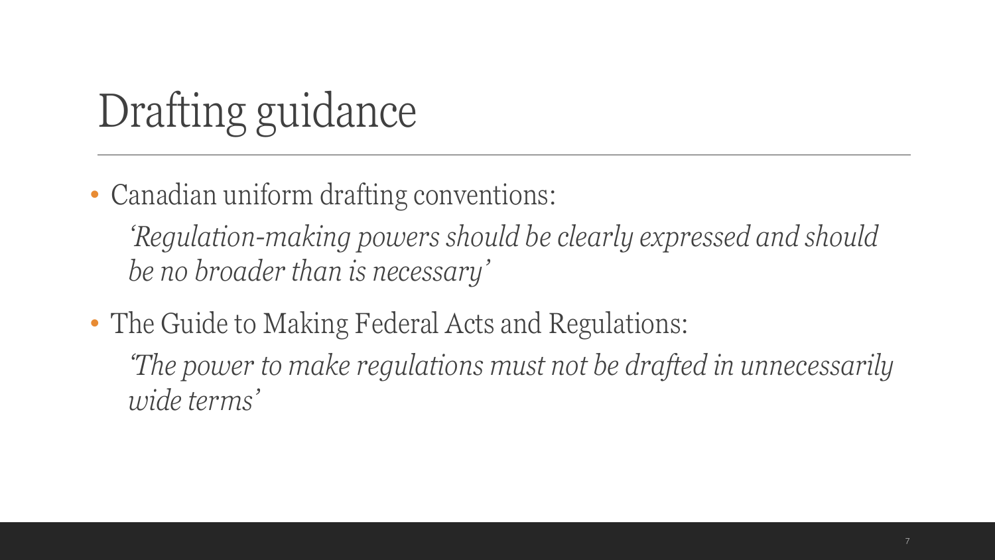### Drafting guidance

• Canadian uniform drafting conventions:

*'Regulation-making powers should be clearly expressed and should be no broader than is necessary'*

• The Guide to Making Federal Acts and Regulations: *'The power to make regulations must not be drafted in unnecessarily wide terms'*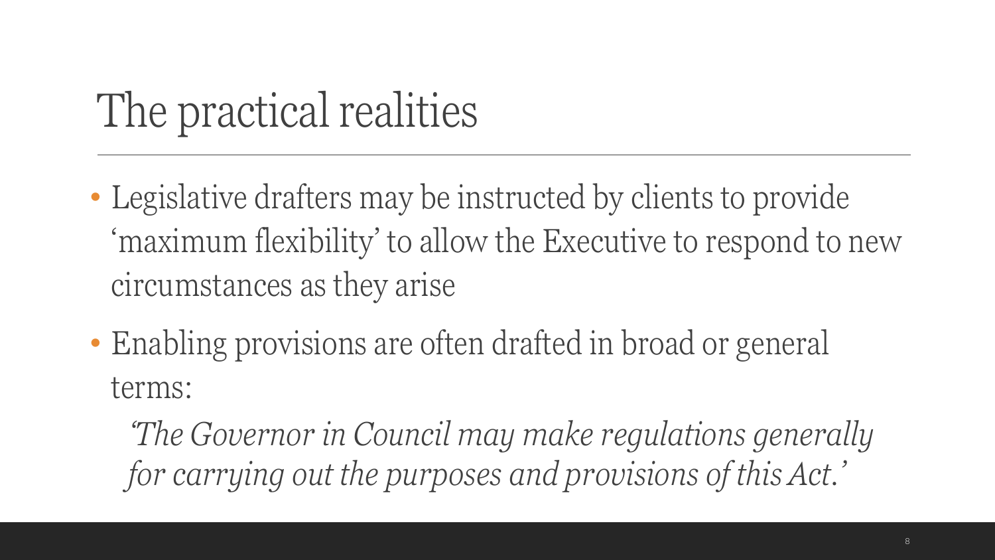## The practical realities

- Legislative drafters may be instructed by clients to provide 'maximum flexibility' to allow the Executive to respond to new circumstances as they arise
- Enabling provisions are often drafted in broad or general terms:

*'The Governor in Council may make regulations generally for carrying out the purposes and provisions of this Act.'*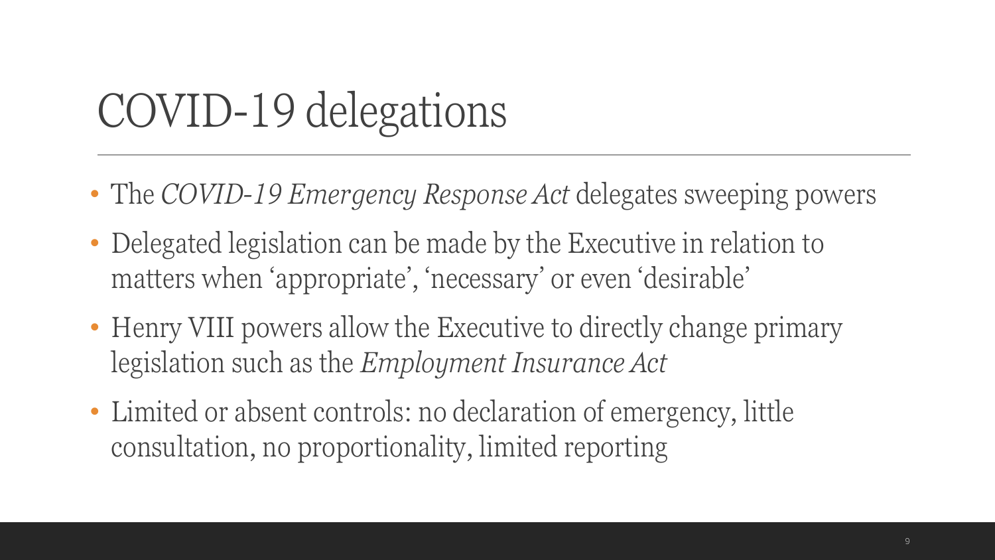#### COVID-19 delegations

- The *COVID-19 Emergency Response Act* delegates sweeping powers
- Delegated legislation can be made by the Executive in relation to matters when 'appropriate', 'necessary' or even 'desirable'
- Henry VIII powers allow the Executive to directly change primary legislation such as the *Employment Insurance Act*
- Limited or absent controls: no declaration of emergency, little consultation, no proportionality, limited reporting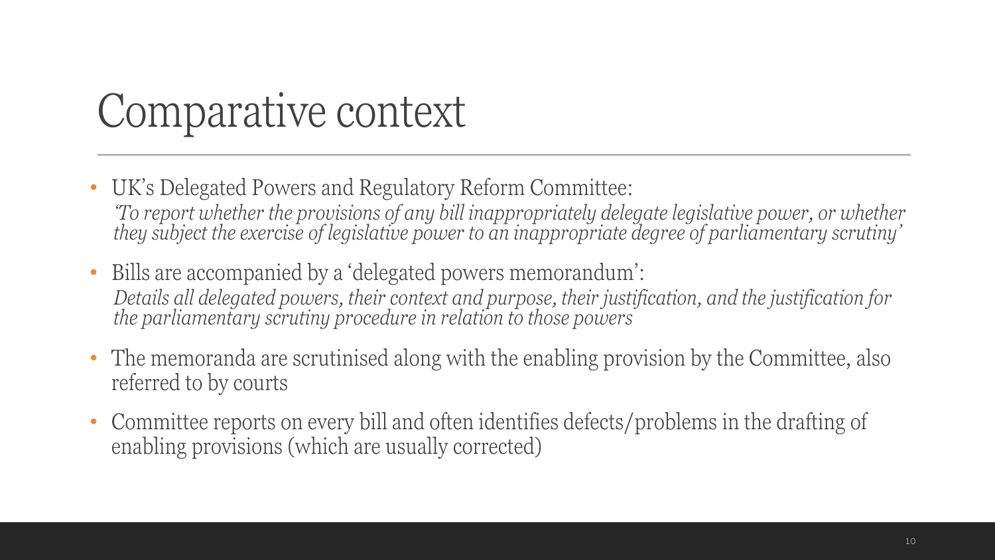#### Comparative context

- UK's Delegated Powers and Regulatory Reform Committee: *To report whether the provisions of any bill inappropriately delegate legislative power, or whether they subject the exercise of legislative power to an inappropriate degree of parliamentary scrutiny'*
- Bills are accompanied by a 'delegated powers memorandum': *Details all delegated powers, their context and purpose, their justification, and the justification for the parliamentary scrutiny procedure in relation to those powers*
- The memoranda are scrutinised along with the enabling provision by the Committee, also referred to by courts
- Committee reports on every bill and often identifies defects/problems in the drafting of enabling provisions (which are usually corrected)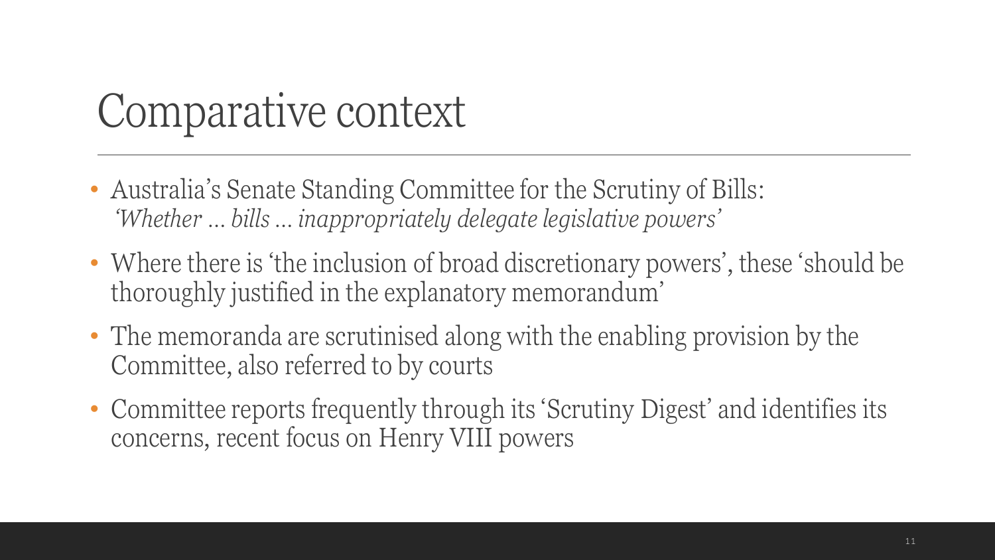#### Comparative context

- Australia's Senate Standing Committee for the Scrutiny of Bills: *'Whether … bills … inappropriately delegate legislative powers'*
- Where there is 'the inclusion of broad discretionary powers', these 'should be thoroughly justified in the explanatory memorandum'
- The memoranda are scrutinised along with the enabling provision by the Committee, also referred to by courts
- Committee reports frequently through its 'Scrutiny Digest' and identifies its concerns, recent focus on Henry VIII powers